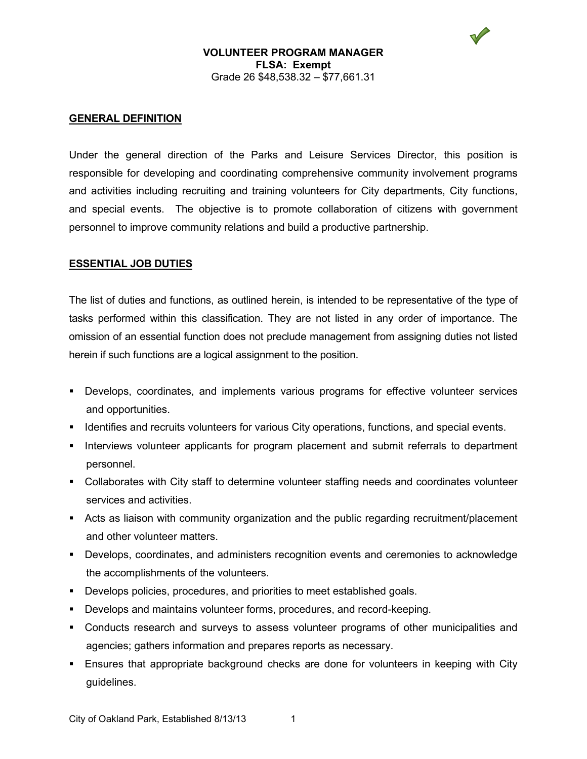#### **VOLUNTEER PROGRAM MANAGER FLSA: Exempt** Grade 26 \$48,538.32 – \$77,661.31

### **GENERAL DEFINITION**

Under the general direction of the Parks and Leisure Services Director, this position is responsible for developing and coordinating comprehensive community involvement programs and activities including recruiting and training volunteers for City departments, City functions, and special events. The objective is to promote collaboration of citizens with government personnel to improve community relations and build a productive partnership.

#### **ESSENTIAL JOB DUTIES**

The list of duties and functions, as outlined herein, is intended to be representative of the type of tasks performed within this classification. They are not listed in any order of importance. The omission of an essential function does not preclude management from assigning duties not listed herein if such functions are a logical assignment to the position.

- Develops, coordinates, and implements various programs for effective volunteer services and opportunities.
- **If all identifies and recruits volunteers for various City operations, functions, and special events.**
- **Interviews volunteer applicants for program placement and submit referrals to department** personnel.
- Collaborates with City staff to determine volunteer staffing needs and coordinates volunteer services and activities.
- Acts as liaison with community organization and the public regarding recruitment/placement and other volunteer matters.
- Develops, coordinates, and administers recognition events and ceremonies to acknowledge the accomplishments of the volunteers.
- Develops policies, procedures, and priorities to meet established goals.
- Develops and maintains volunteer forms, procedures, and record-keeping.
- Conducts research and surveys to assess volunteer programs of other municipalities and agencies; gathers information and prepares reports as necessary.
- **Ensures that appropriate background checks are done for volunteers in keeping with City** guidelines.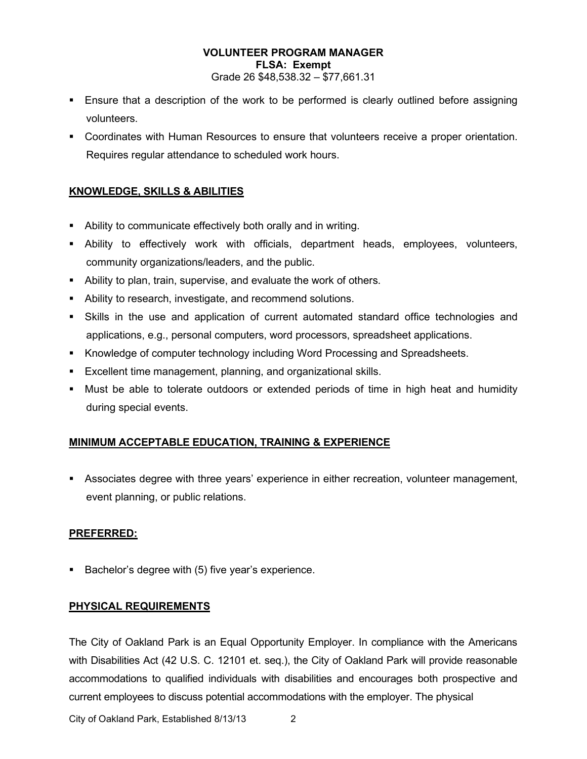# **VOLUNTEER PROGRAM MANAGER FLSA: Exempt**

Grade 26 \$48,538.32 – \$77,661.31

- **Ensure that a description of the work to be performed is clearly outlined before assigning** volunteers.
- Coordinates with Human Resources to ensure that volunteers receive a proper orientation. Requires regular attendance to scheduled work hours.

# **KNOWLEDGE, SKILLS & ABILITIES**

- Ability to communicate effectively both orally and in writing.
- Ability to effectively work with officials, department heads, employees, volunteers, community organizations/leaders, and the public.
- Ability to plan, train, supervise, and evaluate the work of others.
- Ability to research, investigate, and recommend solutions.
- Skills in the use and application of current automated standard office technologies and applications, e.g., personal computers, word processors, spreadsheet applications.
- Knowledge of computer technology including Word Processing and Spreadsheets.
- Excellent time management, planning, and organizational skills.
- Must be able to tolerate outdoors or extended periods of time in high heat and humidity during special events.

# **MINIMUM ACCEPTABLE EDUCATION, TRAINING & EXPERIENCE**

 Associates degree with three years' experience in either recreation, volunteer management, event planning, or public relations.

## **PREFERRED:**

Bachelor's degree with (5) five year's experience.

## **PHYSICAL REQUIREMENTS**

The City of Oakland Park is an Equal Opportunity Employer. In compliance with the Americans with Disabilities Act (42 U.S. C. 12101 et. seq.), the City of Oakland Park will provide reasonable accommodations to qualified individuals with disabilities and encourages both prospective and current employees to discuss potential accommodations with the employer. The physical

City of Oakland Park, Established 8/13/13 2